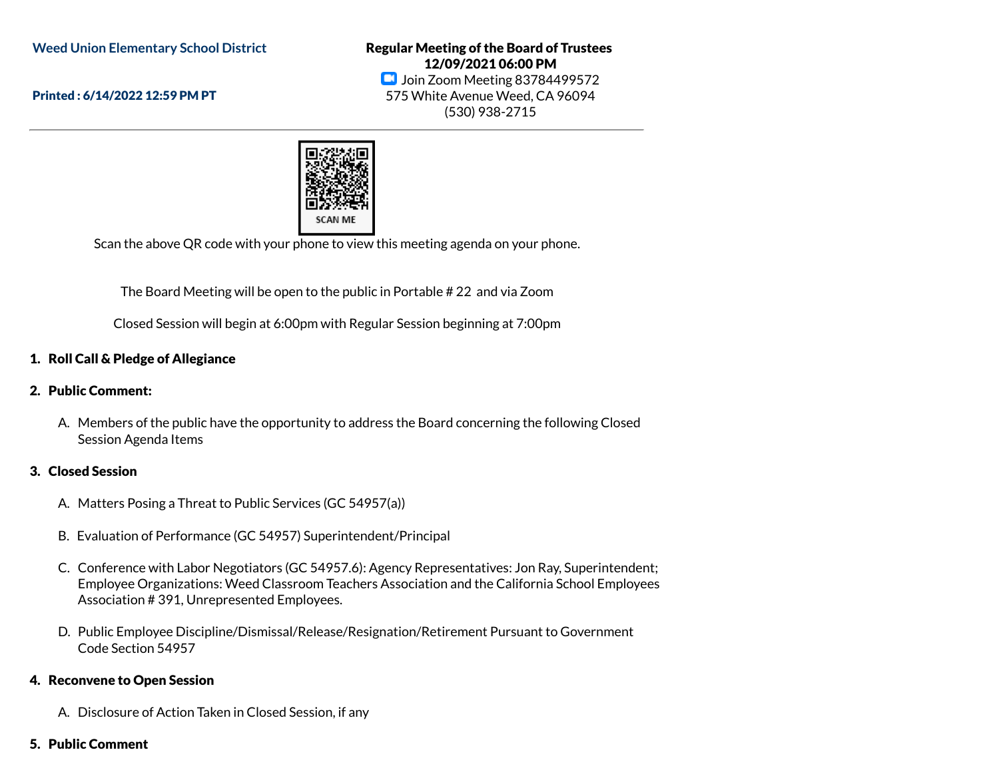**Weed Union Elementary School District**

Printed : 6/14/2022 12:59 PM PT

Regular Meeting of the Board of Trustees 12/09/2021 06:00 PM **D** Join Zoom Meeting 83784499572 575 White Avenue Weed, CA 96094 (530) 938-2715



Scan the above QR code with your phone to view this meeting agenda on your phone.

The Board Meeting will be open to the public in Portable # 22 and via Zoom

Closed Session will begin at 6:00pm with Regular Session beginning at 7:00pm

### 1. Roll Call & Pledge of Allegiance

#### 2. Public Comment:

A. Members of the public have the opportunity to address the Board concerning the following Closed Session Agenda Items

#### 3. Closed Session

- A. Matters Posing a Threat to Public Services (GC 54957(a))
- B. Evaluation of Performance (GC 54957) Superintendent/Principal
- C. Conference with Labor Negotiators (GC 54957.6): Agency Representatives: Jon Ray, Superintendent; Employee Organizations: Weed Classroom Teachers Association and the California School Employees Association # 391, Unrepresented Employees.
- D. Public Employee Discipline/Dismissal/Release/Resignation/Retirement Pursuant to Government Code Section 54957

#### 4. Reconvene to Open Session

- A. Disclosure of Action Taken in Closed Session, if any
- 5. Public Comment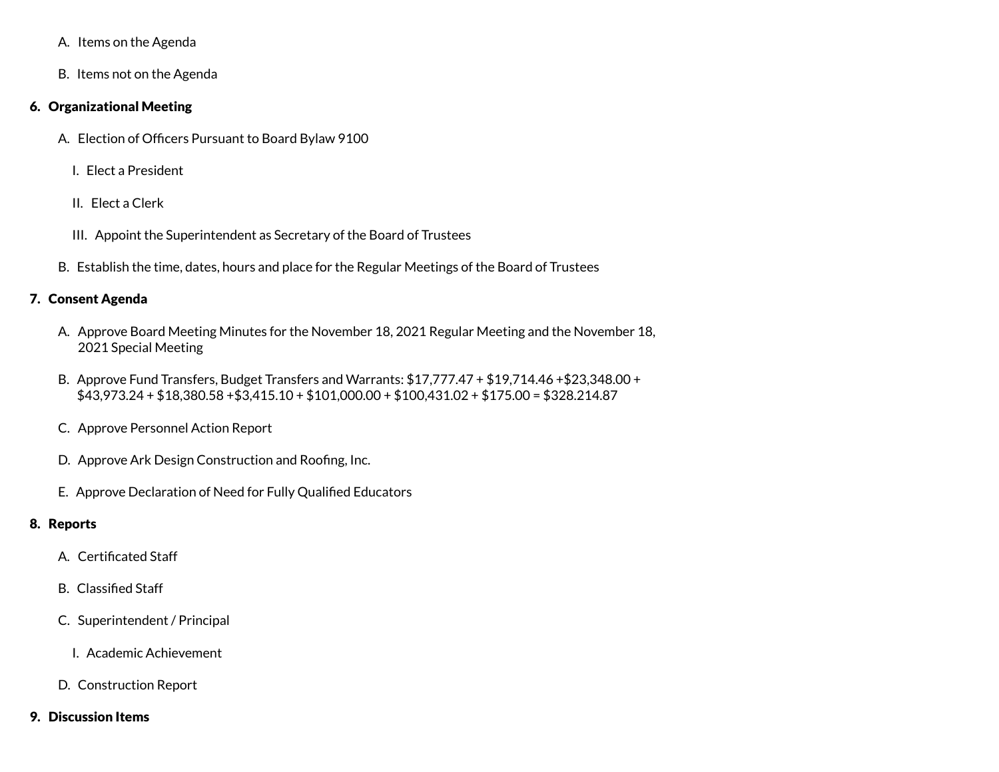- A. Items on the Agenda
- B. Items not on the Agenda

### 6. Organizational Meeting

- A. Election of Officers Pursuant to Board Bylaw 9100
	- I. Elect a President
	- II. Elect a Clerk
	- III. Appoint the Superintendent as Secretary of the Board of Trustees
- B. Establish the time, dates, hours and place for the Regular Meetings of the Board of Trustees

### 7. Consent Agenda

- A. Approve Board Meeting Minutes for the November 18, 2021 Regular Meeting and the November 18, 2021 Special Meeting
- B. Approve Fund Transfers, Budget Transfers and Warrants: \$17,777.47 + \$19,714.46 +\$23,348.00 + \$43,973.24 + \$18,380.58 +\$3,415.10 + \$101,000.00 + \$100,431.02 + \$175.00 = \$328.214.87
- C. Approve Personnel Action Report
- D. Approve Ark Design Construction and Roofing, Inc.
- E. Approve Declaration of Need for Fully Qualified Educators

# 8. Reports

- A. Certificated Staff
- B. Classified Staff
- C. Superintendent / Principal
	- I. Academic Achievement
- D. Construction Report
- 9. Discussion Items